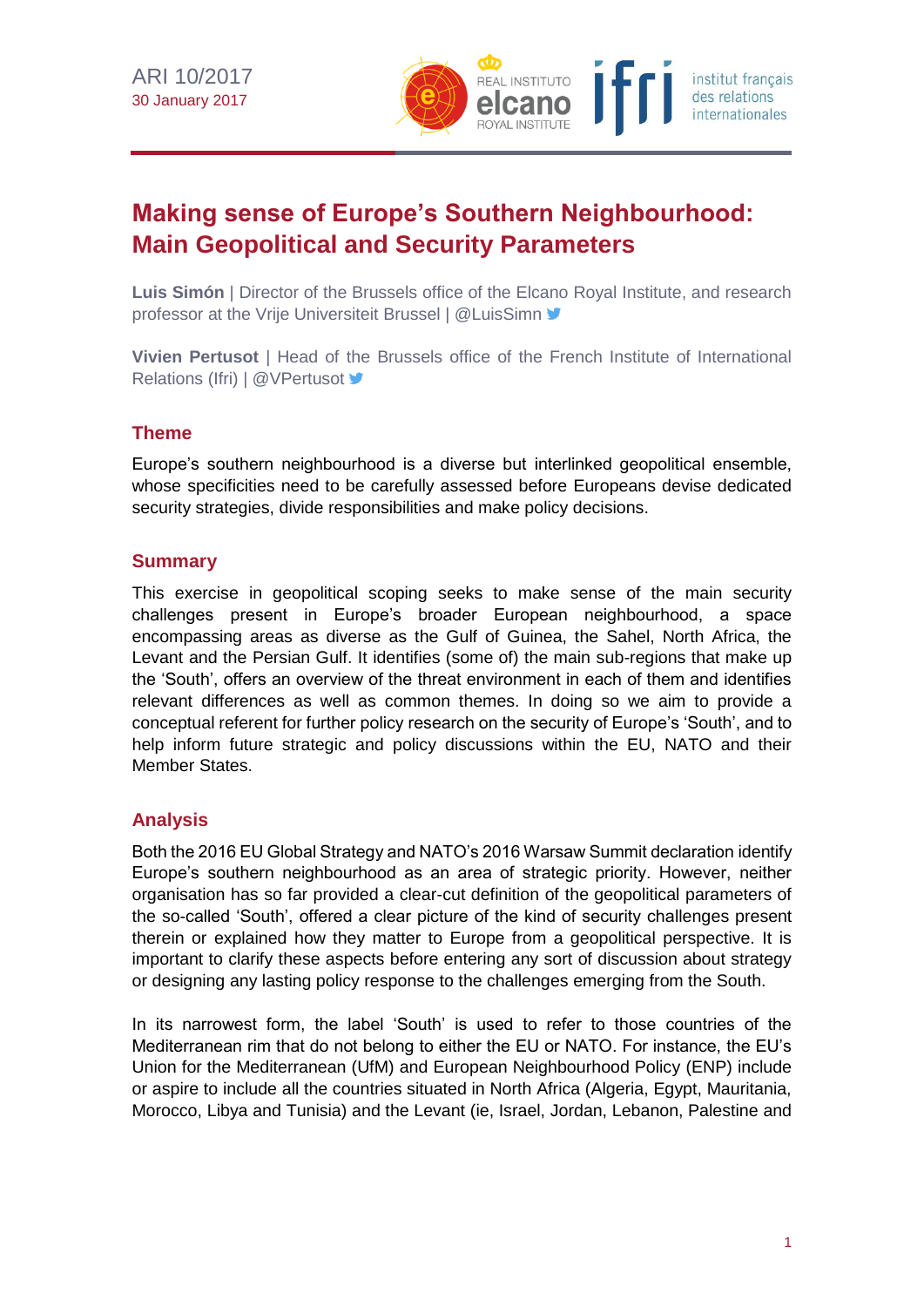

# **Making sense of Europe's Southern Neighbourhood: Main Geopolitical and Security Parameters**

**Luis Simón** | Director of the Brussels office of the Elcano Royal Institute, and research professor at the Vrije Universiteit Brussel | @LuisSimn V

**Vivien Pertusot** | Head of the Brussels office of the French Institute of International Relations (Ifri) | @VPertusot >

# **Theme**

Europe's southern neighbourhood is a diverse but interlinked geopolitical ensemble, whose specificities need to be carefully assessed before Europeans devise dedicated security strategies, divide responsibilities and make policy decisions.

### **Summary**

This exercise in geopolitical scoping seeks to make sense of the main security challenges present in Europe's broader European neighbourhood, a space encompassing areas as diverse as the Gulf of Guinea, the Sahel, North Africa, the Levant and the Persian Gulf. It identifies (some of) the main sub-regions that make up the 'South', offers an overview of the threat environment in each of them and identifies relevant differences as well as common themes. In doing so we aim to provide a conceptual referent for further policy research on the security of Europe's 'South', and to help inform future strategic and policy discussions within the EU, NATO and their Member States.

# **Analysis**

Both the 2016 EU Global Strategy and NATO's 2016 Warsaw Summit declaration identify Europe's southern neighbourhood as an area of strategic priority. However, neither organisation has so far provided a clear-cut definition of the geopolitical parameters of the so-called 'South', offered a clear picture of the kind of security challenges present therein or explained how they matter to Europe from a geopolitical perspective. It is important to clarify these aspects before entering any sort of discussion about strategy or designing any lasting policy response to the challenges emerging from the South.

In its narrowest form, the label 'South' is used to refer to those countries of the Mediterranean rim that do not belong to either the EU or NATO. For instance, the EU's Union for the Mediterranean (UfM) and European Neighbourhood Policy (ENP) include or aspire to include all the countries situated in North Africa (Algeria, Egypt, Mauritania, Morocco, Libya and Tunisia) and the Levant (ie, Israel, Jordan, Lebanon, Palestine and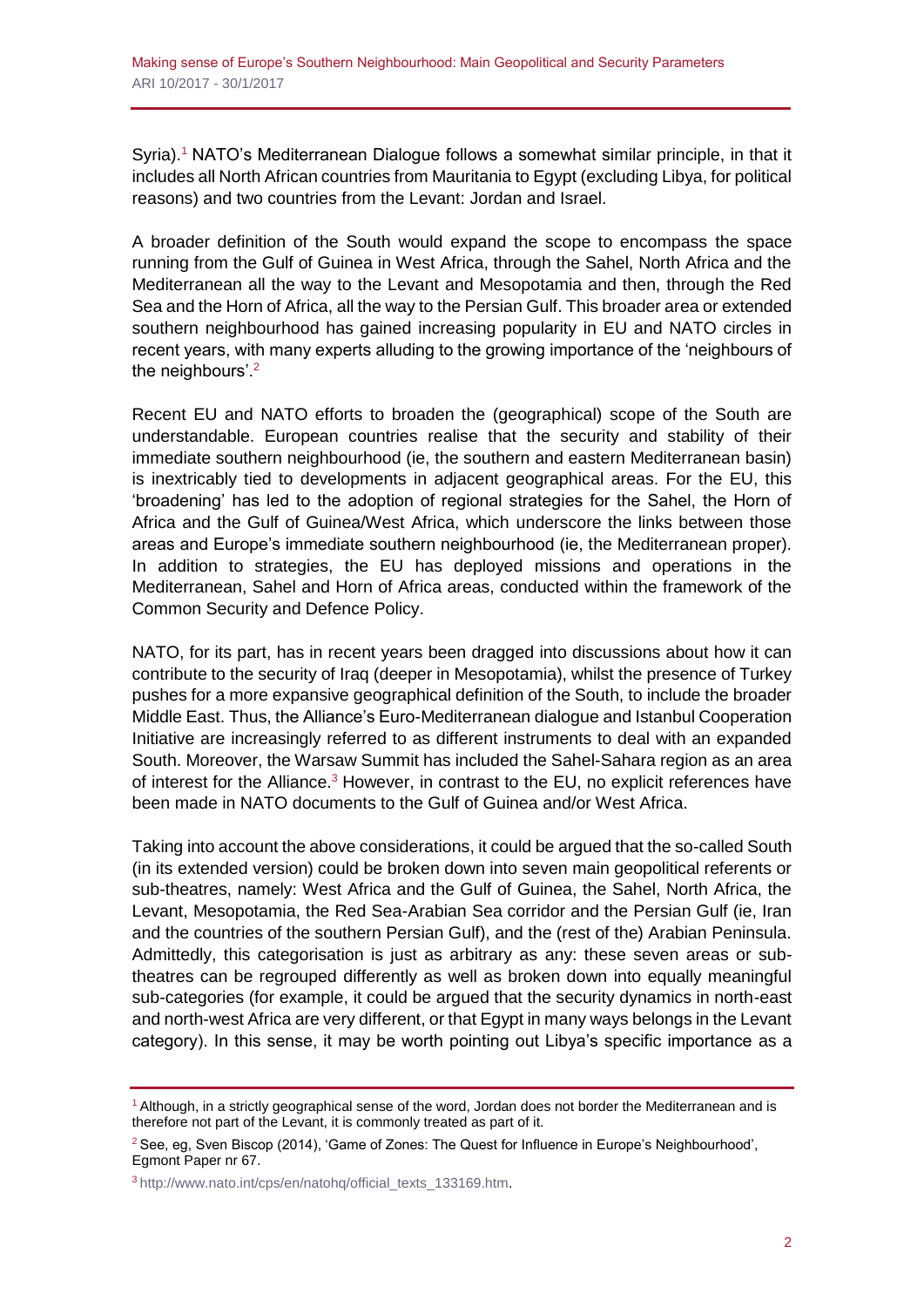Syria).<sup>1</sup> NATO's Mediterranean Dialogue follows a somewhat similar principle, in that it includes all North African countries from Mauritania to Egypt (excluding Libya, for political reasons) and two countries from the Levant: Jordan and Israel.

A broader definition of the South would expand the scope to encompass the space running from the Gulf of Guinea in West Africa, through the Sahel, North Africa and the Mediterranean all the way to the Levant and Mesopotamia and then, through the Red Sea and the Horn of Africa, all the way to the Persian Gulf. This broader area or extended southern neighbourhood has gained increasing popularity in EU and NATO circles in recent years, with many experts alluding to the growing importance of the 'neighbours of the neighbours'.<sup>2</sup>

Recent EU and NATO efforts to broaden the (geographical) scope of the South are understandable. European countries realise that the security and stability of their immediate southern neighbourhood (ie, the southern and eastern Mediterranean basin) is inextricably tied to developments in adjacent geographical areas. For the EU, this 'broadening' has led to the adoption of regional strategies for the Sahel, the Horn of Africa and the Gulf of Guinea/West Africa, which underscore the links between those areas and Europe's immediate southern neighbourhood (ie, the Mediterranean proper). In addition to strategies, the EU has deployed missions and operations in the Mediterranean, Sahel and Horn of Africa areas, conducted within the framework of the Common Security and Defence Policy.

NATO, for its part, has in recent years been dragged into discussions about how it can contribute to the security of Iraq (deeper in Mesopotamia), whilst the presence of Turkey pushes for a more expansive geographical definition of the South, to include the broader Middle East. Thus, the Alliance's Euro-Mediterranean dialogue and Istanbul Cooperation Initiative are increasingly referred to as different instruments to deal with an expanded South. Moreover, the Warsaw Summit has included the Sahel-Sahara region as an area of interest for the Alliance.<sup>3</sup> However, in contrast to the EU, no explicit references have been made in NATO documents to the Gulf of Guinea and/or West Africa.

Taking into account the above considerations, it could be argued that the so-called South (in its extended version) could be broken down into seven main geopolitical referents or sub-theatres, namely: West Africa and the Gulf of Guinea, the Sahel, North Africa, the Levant, Mesopotamia, the Red Sea-Arabian Sea corridor and the Persian Gulf (ie, Iran and the countries of the southern Persian Gulf), and the (rest of the) Arabian Peninsula. Admittedly, this categorisation is just as arbitrary as any: these seven areas or subtheatres can be regrouped differently as well as broken down into equally meaningful sub-categories (for example, it could be argued that the security dynamics in north-east and north-west Africa are very different, or that Egypt in many ways belongs in the Levant category). In this sense, it may be worth pointing out Libya's specific importance as a

<sup>1</sup> Although, in a strictly geographical sense of the word, Jordan does not border the Mediterranean and is therefore not part of the Levant, it is commonly treated as part of it.

<sup>2</sup> See, eg, Sven Biscop (2014), 'Game of Zones: The Quest for Influence in Europe's Neighbourhood', Egmont Paper nr 67.

<sup>3</sup> [http://www.nato.int/cps/en/natohq/official\\_texts\\_133169.htm.](http://www.nato.int/cps/en/natohq/official_texts_133169.htm)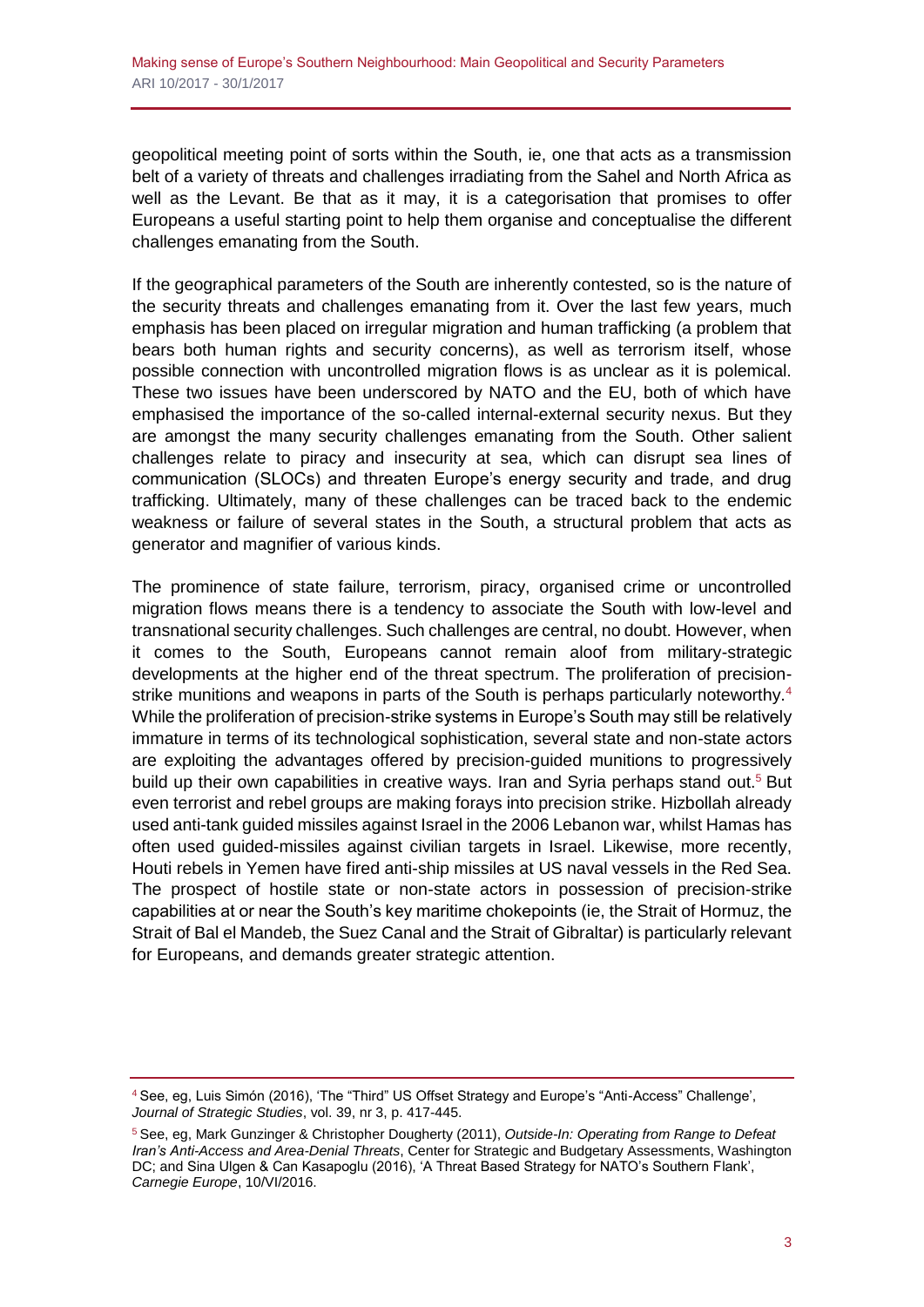geopolitical meeting point of sorts within the South, ie, one that acts as a transmission belt of a variety of threats and challenges irradiating from the Sahel and North Africa as well as the Levant. Be that as it may, it is a categorisation that promises to offer Europeans a useful starting point to help them organise and conceptualise the different challenges emanating from the South.

If the geographical parameters of the South are inherently contested, so is the nature of the security threats and challenges emanating from it. Over the last few years, much emphasis has been placed on irregular migration and human trafficking (a problem that bears both human rights and security concerns), as well as terrorism itself, whose possible connection with uncontrolled migration flows is as unclear as it is polemical. These two issues have been underscored by NATO and the EU, both of which have emphasised the importance of the so-called internal-external security nexus. But they are amongst the many security challenges emanating from the South. Other salient challenges relate to piracy and insecurity at sea, which can disrupt sea lines of communication (SLOCs) and threaten Europe's energy security and trade, and drug trafficking. Ultimately, many of these challenges can be traced back to the endemic weakness or failure of several states in the South, a structural problem that acts as generator and magnifier of various kinds.

The prominence of state failure, terrorism, piracy, organised crime or uncontrolled migration flows means there is a tendency to associate the South with low-level and transnational security challenges. Such challenges are central, no doubt. However, when it comes to the South, Europeans cannot remain aloof from military-strategic developments at the higher end of the threat spectrum. The proliferation of precisionstrike munitions and weapons in parts of the South is perhaps particularly noteworthy.<sup>4</sup> While the proliferation of precision-strike systems in Europe's South may still be relatively immature in terms of its technological sophistication, several state and non-state actors are exploiting the advantages offered by precision-guided munitions to progressively build up their own capabilities in creative ways. Iran and Syria perhaps stand out.<sup>5</sup> But even terrorist and rebel groups are making forays into precision strike. Hizbollah already used anti-tank guided missiles against Israel in the 2006 Lebanon war, whilst Hamas has often used guided-missiles against civilian targets in Israel. Likewise, more recently, Houti rebels in Yemen have fired anti-ship missiles at US naval vessels in the Red Sea. The prospect of hostile state or non-state actors in possession of precision-strike capabilities at or near the South's key maritime chokepoints (ie, the Strait of Hormuz, the Strait of Bal el Mandeb, the Suez Canal and the Strait of Gibraltar) is particularly relevant for Europeans, and demands greater strategic attention.

<sup>4</sup> See, eg, Luis Simón (2016), 'The "Third" US Offset Strategy and Europe's "Anti-Access" Challenge', *Journal of Strategic Studies*, vol. 39, nr 3, p. 417-445.

<sup>5</sup> See, eg, Mark Gunzinger & Christopher Dougherty (2011), *Outside-In: Operating from Range to Defeat Iran's Anti-Access and Area-Denial Threats*, Center for Strategic and Budgetary Assessments, Washington DC; and Sina Ulgen & Can Kasapoglu (2016), 'A Threat Based Strategy for NATO's Southern Flank', *Carnegie Europe*, 10/VI/2016.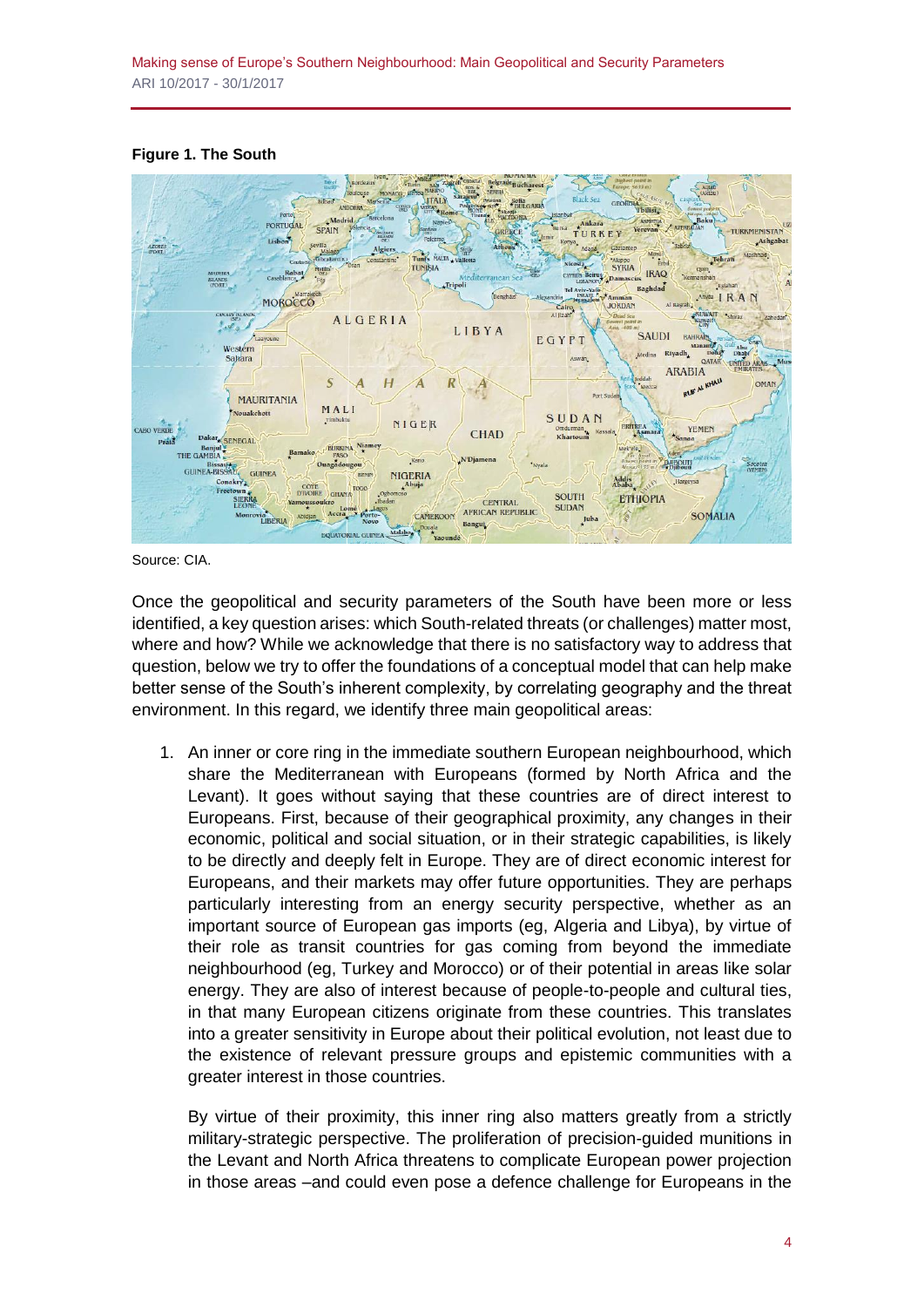#### **Figure 1. The South**



Source: CIA.

Once the geopolitical and security parameters of the South have been more or less identified, a key question arises: which South-related threats (or challenges) matter most, where and how? While we acknowledge that there is no satisfactory way to address that question, below we try to offer the foundations of a conceptual model that can help make better sense of the South's inherent complexity, by correlating geography and the threat environment. In this regard, we identify three main geopolitical areas:

1. An inner or core ring in the immediate southern European neighbourhood, which share the Mediterranean with Europeans (formed by North Africa and the Levant). It goes without saying that these countries are of direct interest to Europeans. First, because of their geographical proximity, any changes in their economic, political and social situation, or in their strategic capabilities, is likely to be directly and deeply felt in Europe. They are of direct economic interest for Europeans, and their markets may offer future opportunities. They are perhaps particularly interesting from an energy security perspective, whether as an important source of European gas imports (eg, Algeria and Libya), by virtue of their role as transit countries for gas coming from beyond the immediate neighbourhood (eg, Turkey and Morocco) or of their potential in areas like solar energy. They are also of interest because of people-to-people and cultural ties, in that many European citizens originate from these countries. This translates into a greater sensitivity in Europe about their political evolution, not least due to the existence of relevant pressure groups and epistemic communities with a greater interest in those countries.

By virtue of their proximity, this inner ring also matters greatly from a strictly military-strategic perspective. The proliferation of precision-guided munitions in the Levant and North Africa threatens to complicate European power projection in those areas –and could even pose a defence challenge for Europeans in the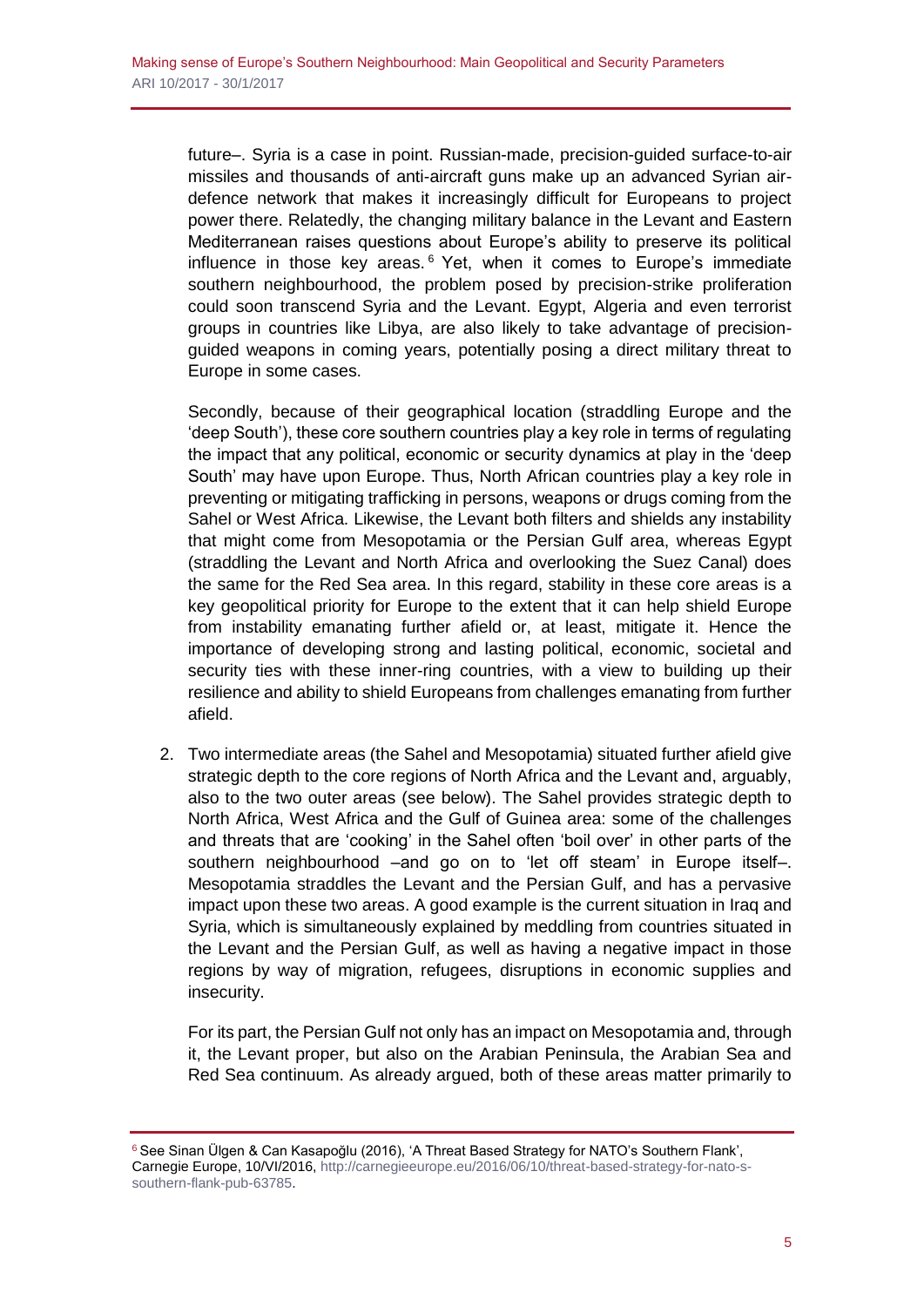future–. Syria is a case in point. Russian-made, precision-guided surface-to-air missiles and thousands of anti-aircraft guns make up an advanced Syrian airdefence network that makes it increasingly difficult for Europeans to project power there. Relatedly, the changing military balance in the Levant and Eastern Mediterranean raises questions about Europe's ability to preserve its political influence in those key areas. $6$  Yet, when it comes to Europe's immediate southern neighbourhood, the problem posed by precision-strike proliferation could soon transcend Syria and the Levant. Egypt, Algeria and even terrorist groups in countries like Libya, are also likely to take advantage of precisionguided weapons in coming years, potentially posing a direct military threat to Europe in some cases.

Secondly, because of their geographical location (straddling Europe and the 'deep South'), these core southern countries play a key role in terms of regulating the impact that any political, economic or security dynamics at play in the 'deep South' may have upon Europe. Thus, North African countries play a key role in preventing or mitigating trafficking in persons, weapons or drugs coming from the Sahel or West Africa. Likewise, the Levant both filters and shields any instability that might come from Mesopotamia or the Persian Gulf area, whereas Egypt (straddling the Levant and North Africa and overlooking the Suez Canal) does the same for the Red Sea area. In this regard, stability in these core areas is a key geopolitical priority for Europe to the extent that it can help shield Europe from instability emanating further afield or, at least, mitigate it. Hence the importance of developing strong and lasting political, economic, societal and security ties with these inner-ring countries, with a view to building up their resilience and ability to shield Europeans from challenges emanating from further afield.

2. Two intermediate areas (the Sahel and Mesopotamia) situated further afield give strategic depth to the core regions of North Africa and the Levant and, arguably, also to the two outer areas (see below). The Sahel provides strategic depth to North Africa, West Africa and the Gulf of Guinea area: some of the challenges and threats that are 'cooking' in the Sahel often 'boil over' in other parts of the southern neighbourhood –and go on to 'let off steam' in Europe itself–. Mesopotamia straddles the Levant and the Persian Gulf, and has a pervasive impact upon these two areas. A good example is the current situation in Iraq and Syria, which is simultaneously explained by meddling from countries situated in the Levant and the Persian Gulf, as well as having a negative impact in those regions by way of migration, refugees, disruptions in economic supplies and insecurity.

For its part, the Persian Gulf not only has an impact on Mesopotamia and, through it, the Levant proper, but also on the Arabian Peninsula, the Arabian Sea and Red Sea continuum. As already argued, both of these areas matter primarily to

<sup>&</sup>lt;sup>6</sup> See Sinan Ülgen & Can Kasapoğlu (2016), 'A Threat Based Strategy for NATO's Southern Flank'. Carnegie Europe, 10/VI/2016[, http://carnegieeurope.eu/2016/06/10/threat-based-strategy-for-nato-s](http://carnegieeurope.eu/2016/06/10/threat-based-strategy-for-nato-s-southern-flank-pub-63785)[southern-flank-pub-63785.](http://carnegieeurope.eu/2016/06/10/threat-based-strategy-for-nato-s-southern-flank-pub-63785)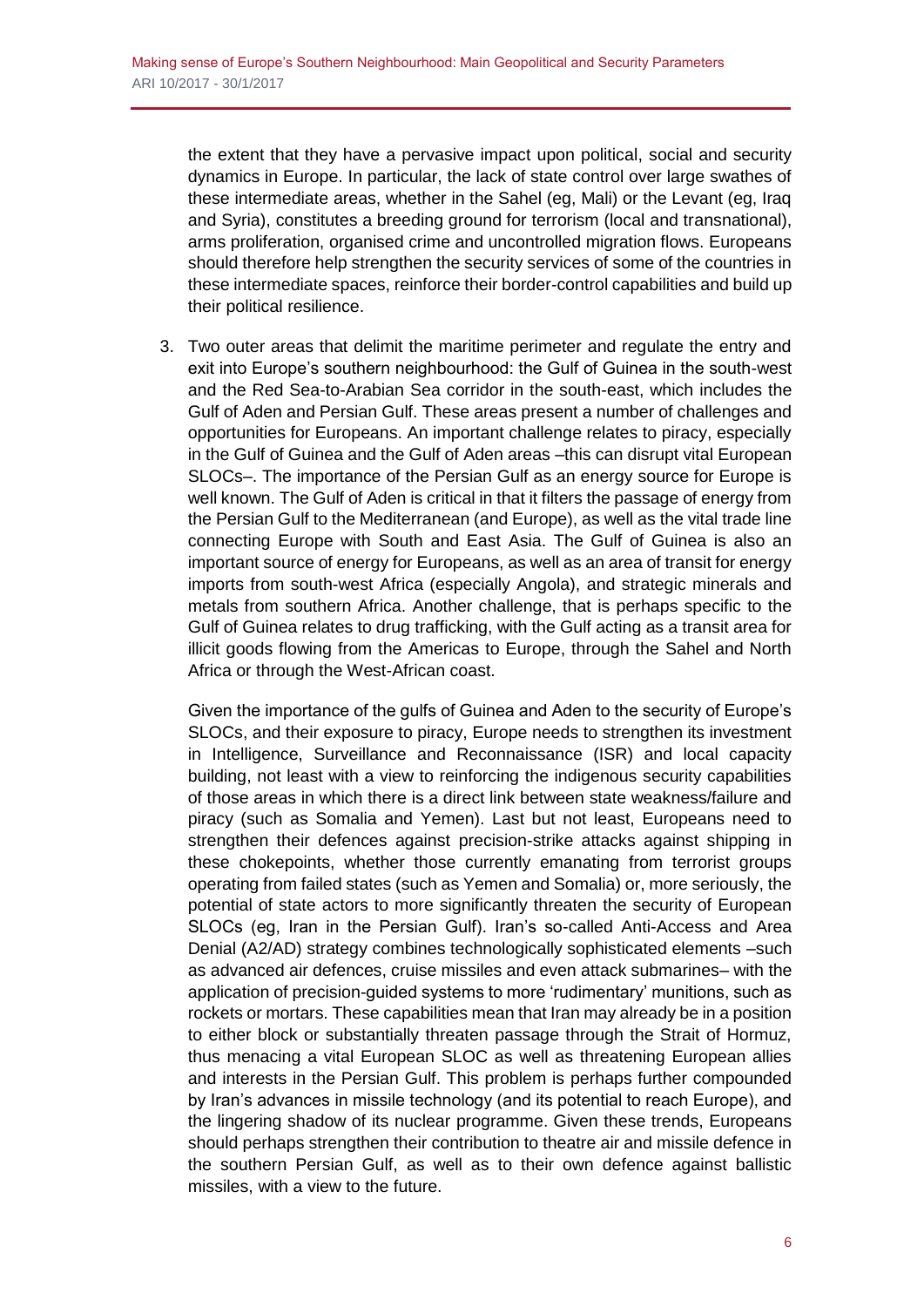the extent that they have a pervasive impact upon political, social and security dynamics in Europe. In particular, the lack of state control over large swathes of these intermediate areas, whether in the Sahel (eg, Mali) or the Levant (eg, Iraq and Syria), constitutes a breeding ground for terrorism (local and transnational), arms proliferation, organised crime and uncontrolled migration flows. Europeans should therefore help strengthen the security services of some of the countries in these intermediate spaces, reinforce their border-control capabilities and build up their political resilience.

3. Two outer areas that delimit the maritime perimeter and regulate the entry and exit into Europe's southern neighbourhood: the Gulf of Guinea in the south-west and the Red Sea-to-Arabian Sea corridor in the south-east, which includes the Gulf of Aden and Persian Gulf. These areas present a number of challenges and opportunities for Europeans. An important challenge relates to piracy, especially in the Gulf of Guinea and the Gulf of Aden areas –this can disrupt vital European SLOCs–. The importance of the Persian Gulf as an energy source for Europe is well known. The Gulf of Aden is critical in that it filters the passage of energy from the Persian Gulf to the Mediterranean (and Europe), as well as the vital trade line connecting Europe with South and East Asia. The Gulf of Guinea is also an important source of energy for Europeans, as well as an area of transit for energy imports from south-west Africa (especially Angola), and strategic minerals and metals from southern Africa. Another challenge, that is perhaps specific to the Gulf of Guinea relates to drug trafficking, with the Gulf acting as a transit area for illicit goods flowing from the Americas to Europe, through the Sahel and North Africa or through the West-African coast.

Given the importance of the gulfs of Guinea and Aden to the security of Europe's SLOCs, and their exposure to piracy, Europe needs to strengthen its investment in Intelligence, Surveillance and Reconnaissance (ISR) and local capacity building, not least with a view to reinforcing the indigenous security capabilities of those areas in which there is a direct link between state weakness/failure and piracy (such as Somalia and Yemen). Last but not least, Europeans need to strengthen their defences against precision-strike attacks against shipping in these chokepoints, whether those currently emanating from terrorist groups operating from failed states (such as Yemen and Somalia) or, more seriously, the potential of state actors to more significantly threaten the security of European SLOCs (eg, Iran in the Persian Gulf). Iran's so-called Anti-Access and Area Denial (A2/AD) strategy combines technologically sophisticated elements –such as advanced air defences, cruise missiles and even attack submarines– with the application of precision-guided systems to more 'rudimentary' munitions, such as rockets or mortars. These capabilities mean that Iran may already be in a position to either block or substantially threaten passage through the Strait of Hormuz, thus menacing a vital European SLOC as well as threatening European allies and interests in the Persian Gulf. This problem is perhaps further compounded by Iran's advances in missile technology (and its potential to reach Europe), and the lingering shadow of its nuclear programme. Given these trends, Europeans should perhaps strengthen their contribution to theatre air and missile defence in the southern Persian Gulf, as well as to their own defence against ballistic missiles, with a view to the future.